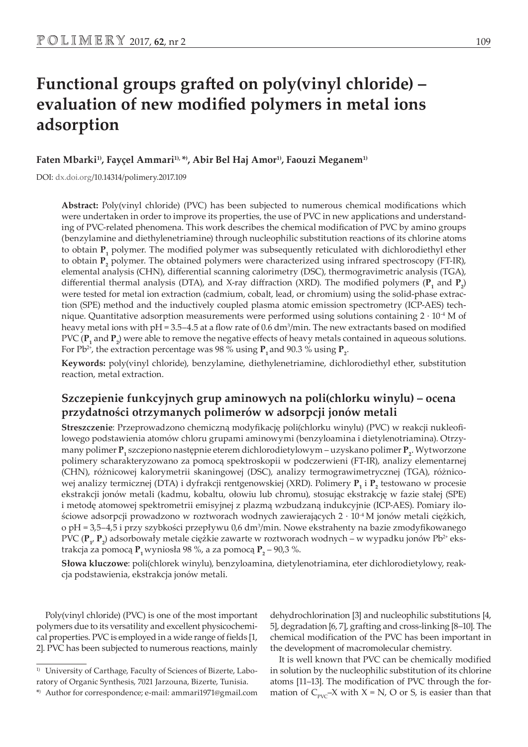# **Functional groups grafted on poly(vinyl chloride) – evaluation of new modified polymers in metal ions adsorption**

**Faten Mbarki1), Fayçel Ammari1), \*) , Abir Bel Haj Amor1), Faouzi Meganem1)**

DOI: dx.doi.org/10.14314/polimery.2017.109

**Abstract:** Poly(vinyl chloride) (PVC) has been subjected to numerous chemical modifications which were undertaken in order to improve its properties, the use of PVC in new applications and understanding of PVC-related phenomena. This work describes the chemical modification of PVC by amino groups (benzylamine and diethylenetriamine) through nucleophilic substitution reactions of its chlorine atoms to obtain  $P_1$  polymer. The modified polymer was subsequently reticulated with dichlorodiethyl ether to obtain  $P_2$  polymer. The obtained polymers were characterized using infrared spectroscopy (FT-IR), elemental analysis (CHN), differential scanning calorimetry (DSC), thermogravimetric analysis (TGA), differential thermal analysis (DTA), and X-ray diffraction (XRD). The modified polymers  $(\mathbf{P}_1$  and  $\mathbf{P}_2)$ were tested for metal ion extraction (cadmium, cobalt, lead, or chromium) using the solid-phase extraction (SPE) method and the inductively coupled plasma atomic emission spectrometry (ICP-AES) technique. Quantitative adsorption measurements were performed using solutions containing  $2 \cdot 10^{-4}$  M of heavy metal ions with pH = 3.5–4.5 at a flow rate of 0.6  $dm^3/m$ in. The new extractants based on modified PVC ( ${\bf P}_1$  and  ${\bf P}_2$ ) were able to remove the negative effects of heavy metals contained in aqueous solutions. For Pb<sup>2+</sup>, the extraction percentage was 98  $\%$  using  $\mathbf{P}_1$  and 90.3  $\%$  using  $\mathbf{P}_2$ .

**Keywords:** poly(vinyl chloride), benzylamine, diethylenetriamine, dichlorodiethyl ether, substitution reaction, metal extraction.

# **Szczepienie funkcyjnych grup aminowych na poli(chlorku winylu) – ocena przydatności otrzymanych polimerów w adsorpcji jonów metali**

**Streszczenie**: Przeprowadzono chemiczną modyfikację poli(chlorku winylu) (PVC) w reakcji nukleofilowego podstawienia atomów chloru grupami aminowymi (benzyloamina i dietylenotriamina). Otrzymany polimer  $\mathbf{P}_1$  szczepiono następnie eterem dichlorodietylowym – uzyskano polimer  $\mathbf{P}_2$ . Wytworzone polimery scharakteryzowano za pomocą spektroskopii w podczerwieni (FT-IR), analizy elementarnej (CHN), różnicowej kalorymetrii skaningowej (DSC), analizy termograwimetrycznej (TGA), różnicowej analizy termicznej (DTA) i dyfrakcji rentgenowskiej (XRD). Polimery  $P_1$  i  $P_2$  testowano w procesie ekstrakcji jonów metali (kadmu, kobaltu, ołowiu lub chromu), stosując ekstrakcję w fazie stałej (SPE) i metodę atomowej spektrometrii emisyjnej z plazmą wzbudzaną indukcyjnie (ICP-AES). Pomiary ilościowe adsorpcji prowadzono w roztworach wodnych zawierających 2 · 10-4 M jonów metali ciężkich, o pH = 3,5–4,5 i przy szybkości przepływu 0,6 dm<sup>3</sup> /min. Nowe ekstrahenty na bazie zmodyfikowanego PVC ( ${\bf P}_{1'}$ ,  ${\bf P}_{2}$ ) adsorbowały metale ciężkie zawarte w roztworach wodnych – w wypadku jonów Pb<sup>2+</sup> ekstrakcja za pomocą  $\mathbf{P}_\text{1}$ wyniosła 98 %, a za pomocą  $\mathbf{P}_\text{2}$  – 90,3 %.

**Słowa kluczowe**: poli(chlorek winylu), benzyloamina, dietylenotriamina, eter dichlorodietylowy, reakcja podstawienia, ekstrakcja jonów metali.

Poly(vinyl chloride) (PVC) is one of the most important polymers due to its versatility and excellent physicochemical properties. PVC is employed in a wide range of fields [1, 2]. PVC has been subjected to numerous reactions, mainly dehydrochlorination [3] and nucleophilic substitutions [4, 5], degradation [6, 7], grafting and cross-linking [8–10]. The chemical modification of the PVC has been important in the development of macromolecular chemistry.

It is well known that PVC can be chemically modified in solution by the nucleophilic substitution of its chlorine atoms [11–13]. The modification of PVC through the formation of  $C_{\text{PVC}}$ –X with X = N, O or S, is easier than that

<sup>&</sup>lt;sup>1)</sup> University of Carthage, Faculty of Sciences of Bizerte, Labo-

ratory of Organic Synthesis, 7021 Jarzouna, Bizerte, Tunisia.

<sup>\*)</sup> Author for correspondence; e-mail: ammari1971@gmail.com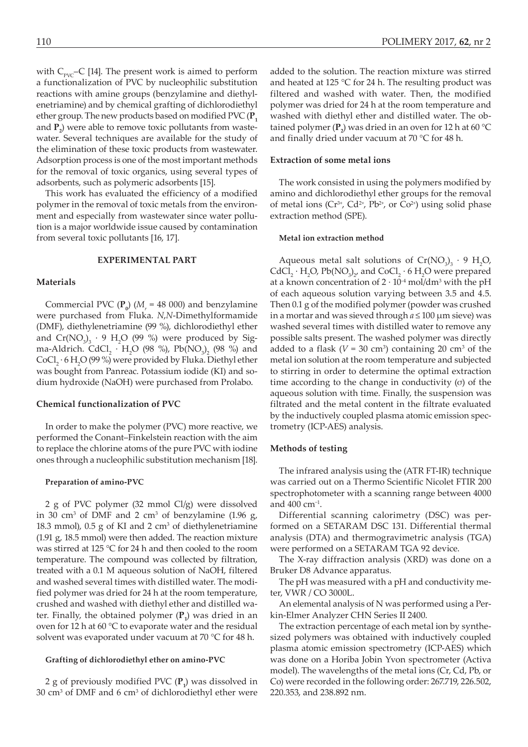with  $C_{\text{pyc}}$ –C [14]. The present work is aimed to perform a functionalization of PVC by nucleophilic substitution reactions with amine groups (benzylamine and diethylenetriamine) and by chemical grafting of dichlorodiethyl ether group. The new products based on modified PVC (**P1** and  $P_2$ ) were able to remove toxic pollutants from wastewater. Several techniques are available for the study of the elimination of these toxic products from wastewater. Adsorption process is one of the most important methods for the removal of toxic organics, using several types of adsorbents, such as polymeric adsorbents [15].

This work has evaluated the efficiency of a modified polymer in the removal of toxic metals from the environment and especially from wastewater since water pollution is a major worldwide issue caused by contamination from several toxic pollutants [16, 17].

## **EXPERIMENTAL PART**

#### **Materials**

Commercial PVC  $(\mathbf{P}_0)$  ( $M_r$  = 48 000) and benzylamine were purchased from Fluka. *N*,*N*-Dimethylformamide (DMF), diethylenetriamine (99 %), dichlorodiethyl ether and  $Cr(NO<sub>3</sub>)<sub>3</sub> \cdot 9 H<sub>2</sub>O$  (99 %) were produced by Sigma-Aldrich. CdCl<sub>2</sub>  $\cdot$  H<sub>2</sub>O (98 %), Pb(NO<sub>3</sub>)<sub>2</sub> (98 %) and  $CoCl_2 \cdot 6H_2O$  (99 %) were provided by Fluka. Diethyl ether was bought from Panreac. Potassium iodide (KI) and sodium hydroxide (NaOH) were purchased from Prolabo.

### **Chemical functionalization of PVC**

In order to make the polymer (PVC) more reactive, we performed the Conant–Finkelstein reaction with the aim to replace the chlorine atoms of the pure PVC with iodine ones through a nucleophilic substitution mechanism [18].

#### **Preparation of amino-PVC**

2 g of PVC polymer (32 mmol Cl/g) were dissolved in 30 cm<sup>3</sup> of DMF and 2 cm<sup>3</sup> of benzylamine  $(1.96 \text{ g})$ , 18.3 mmol),  $0.5$  g of KI and 2 cm<sup>3</sup> of diethylenetriamine (1.91 g, 18.5 mmol) were then added. The reaction mixture was stirred at 125 °C for 24 h and then cooled to the room temperature. The compound was collected by filtration, treated with a 0.1 M aqueous solution of NaOH, filtered and washed several times with distilled water. The modified polymer was dried for 24 h at the room temperature, crushed and washed with diethyl ether and distilled water. Finally, the obtained polymer (P<sub>1</sub>) was dried in an oven for 12 h at 60 °C to evaporate water and the residual solvent was evaporated under vacuum at 70 °C for 48 h.

#### **Grafting of dichlorodiethyl ether on amino-PVC**

2 g of previously modified PVC (**P1** ) was dissolved in 30  $\text{cm}^3$  of DMF and 6  $\text{cm}^3$  of dichlorodiethyl ether were added to the solution. The reaction mixture was stirred and heated at 125 °C for 24 h. The resulting product was filtered and washed with water. Then, the modified polymer was dried for 24 h at the room temperature and washed with diethyl ether and distilled water. The obtained polymer ( $\mathbf{P}_2$ ) was dried in an oven for 12 h at 60 °C and finally dried under vacuum at 70 °C for 48 h.

## **Extraction of some metal ions**

The work consisted in using the polymers modified by amino and dichlorodiethyl ether groups for the removal of metal ions ( $Cr^{3+}$ ,  $Cd^{2+}$ ,  $Pb^{2+}$ , or  $Co^{2+}$ ) using solid phase extraction method (SPE).

#### **Metal ion extraction method**

Aqueous metal salt solutions of  $Cr(NO<sub>3</sub>)<sub>3</sub> \cdot 9 H<sub>2</sub>O$ ,  $CdCl_2 \cdot H_2O$ ,  $Pb(NO_3)_2$ , and  $CoCl_2 \cdot 6H_2O$  were prepared at a known concentration of  $2 \cdot 10^{-4}$  mol/dm<sup>3</sup> with the pH of each aqueous solution varying between 3.5 and 4.5. Then 0.1 g of the modified polymer (powder was crushed in a mortar and was sieved through *a* ≤ 100 μm sieve) was washed several times with distilled water to remove any possible salts present. The washed polymer was directly added to a flask  $(V = 30 \text{ cm}^3)$  containing 20 cm<sup>3</sup> of the metal ion solution at the room temperature and subjected to stirring in order to determine the optimal extraction time according to the change in conductivity (σ) of the aqueous solution with time. Finally, the suspension was filtrated and the metal content in the filtrate evaluated by the inductively coupled plasma atomic emission spectrometry (ICP-AES) analysis.

#### **Methods of testing**

The infrared analysis using the (ATR FT-IR) technique was carried out on a Thermo Scientific Nicolet FTIR 200 spectrophotometer with a scanning range between 4000 and 400 cm−1.

Differential scanning calorimetry (DSC) was performed on a SETARAM DSC 131. Differential thermal analysis (DTA) and thermogravimetric analysis (TGA) were performed on a SETARAM TGA 92 device.

The X-ray diffraction analysis (XRD) was done on a Bruker D8 Advance apparatus.

The pH was measured with a pH and conductivity meter, VWR / CO 3000L.

An elemental analysis of N was performed using a Perkin-Elmer Analyzer CHN Series II 2400.

The extraction percentage of each metal ion by synthesized polymers was obtained with inductively coupled plasma atomic emission spectrometry (ICP-AES) which was done on a Horiba Jobin Yvon spectrometer (Activa model). The wavelengths of the metal ions (Cr, Cd, Pb, or Co) were recorded in the following order: 267.719, 226.502, 220.353, and 238.892 nm.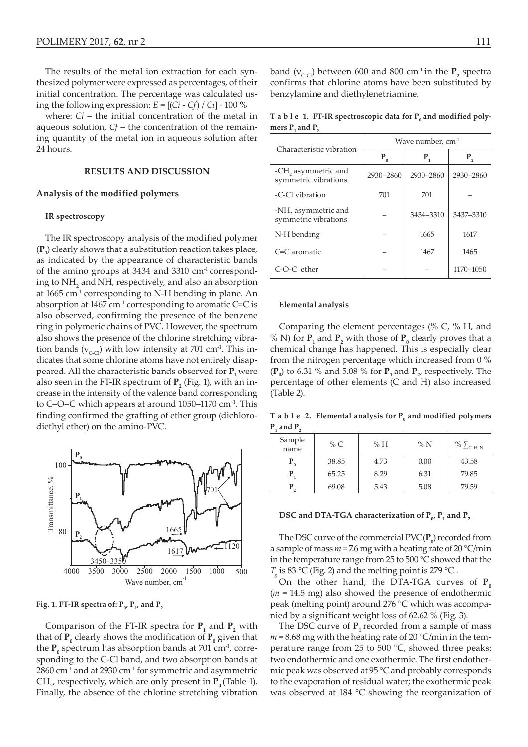The results of the metal ion extraction for each synthesized polymer were expressed as percentages, of their initial concentration. The percentage was calculated using the following expression:  $E = [(Ci - Cf) / Ci] \cdot 100\%$ 

where: *Ci* – the initial concentration of the metal in aqueous solution, *Cf* – the concentration of the remaining quantity of the metal ion in aqueous solution after 24 hours.

#### **RESULTS AND DISCUSSION**

#### **Analysis of the modified polymers**

#### **IR spectroscopy**

The IR spectroscopy analysis of the modified polymer  $(\mathbf{P}_1)$  clearly shows that a substitution reaction takes place, as indicated by the appearance of characteristic bands of the amino groups at 3434 and 3310 cm<sup>-1</sup> corresponding to  $NH_2$  and NH, respectively, and also an absorption at 1665 cm-1 corresponding to N-H bending in plane. An absorption at  $1467 \text{ cm}^{-1}$  corresponding to aromatic C=C is also observed, confirming the presence of the benzene ring in polymeric chains of PVC. However, the spectrum also shows the presence of the chlorine stretching vibration bands ( $v_{c-}$ ) with low intensity at 701 cm<sup>-1</sup>. This indicates that some chlorine atoms have not entirely disappeared. All the characteristic bands observed for  $P_1$  were also seen in the FT-IR spectrum of  $\mathbf{P}_{\mathbf{2}}$  (Fig. 1), with an increase in the intensity of the valence band corresponding to C–O–C which appears at around 1050–1170 cm<sup>-1</sup>. This finding confirmed the grafting of ether group (dichlorodiethyl ether) on the amino-PVC.



Fig. 1. FT-IR spectra of:  $P_{0}$ ,  $P_{1}$ , and  $P_{2}$ 

Comparison of the FT-IR spectra for  $P_1$  and  $P_2$  with that of  $\mathbf{P}_{0}$  clearly shows the modification of  $\mathbf{P}_{0}$  given that the  $\mathbf{P}_{0}$  spectrum has absorption bands at 701 cm<sup>-1</sup>, corresponding to the C-Cl band, and two absorption bands at  $2860$  cm<sup>-1</sup> and at  $2930$  cm<sup>-1</sup> for symmetric and asymmetric  $CH_{2'}$  respectively, which are only present in  $\mathbf{P}_{0}$  (Table 1). Finally, the absence of the chlorine stretching vibration

**T a b l e 1. FT-IR spectroscopic data for P<sup>0</sup> and modified polymers P**<sub>1</sub> **and P**<sub>2</sub>

| Characteristic vibration                    | Wave number, $cm-1$ |           |           |  |
|---------------------------------------------|---------------------|-----------|-----------|--|
|                                             | $P_{0}$             | $P_{1}$   | $P_{2}$   |  |
| -CH, asymmetric and<br>symmetric vibrations | 2930-2860           | 2930-2860 | 2930-2860 |  |
| -C-Cl vibration                             | 701                 | 701       |           |  |
| -NH, asymmetric and<br>symmetric vibrations |                     | 3434-3310 | 3437-3310 |  |
| N-H bending                                 |                     | 1665      | 1617      |  |
| $C=C$ aromatic                              |                     | 1467      | 1465      |  |
| $C$ -O-C ether                              |                     |           | 1170-1050 |  |

#### **Elemental analysis**

Comparing the element percentages (% C, % H, and % N) for  $P_1$  and  $P_2$  with those of  $P_0$  clearly proves that a chemical change has happened. This is especially clear from the nitrogen percentage which increased from 0 %  $(\mathbf{P}_0)$  to 6.31 % and 5.08 % for  $\mathbf{P}_1$  and  $\mathbf{P}_2$ , respectively. The percentage of other elements (C and H) also increased (Table 2).

**T a b l e 2. Elemental analysis for P<sup>0</sup> and modified polymers**   $P_1$  and  $P_2$ 

| Sample<br>name   | % $C$ | % H  | %N   | $\%$ $\sum_{C, H, N}$ |
|------------------|-------|------|------|-----------------------|
| $P_{0}$          | 38.85 | 4.73 | 0.00 | 43.58                 |
| $\mathbf{P}_{i}$ | 65.25 | 8.29 | 6.31 | 79.85                 |
|                  | 69.08 | 5.43 | 5.08 | 79.59                 |

## DSC and DTA-TGA characterization of  $P_{0}$ ,  $P_{1}$  and  $P_{2}$

The DSC curve of the commercial  $\text{PVC}(\mathbf{P}_{0})$  recorded from a sample of mass  $m = 7.6$  mg with a heating rate of 20 °C/min in the temperature range from 25 to 500 °C showed that the  $T_{\rm g}$  is 83 °C (Fig. 2) and the melting point is 279 °C.

On the other hand, the DTA-TGA curves of  $P_0$ (*m* = 14.5 mg) also showed the presence of endothermic peak (melting point) around 276 °C which was accompanied by a significant weight loss of 62.62 % (Fig. 3).

The DSC curve of  $P_1$  recorded from a sample of mass  $m = 8.68$  mg with the heating rate of 20 °C/min in the temperature range from 25 to 500 °C, showed three peaks: two endothermic and one exothermic. The first endothermic peak was observed at 95 °C and probably corresponds to the evaporation of residual water; the exothermic peak was observed at 184 °C showing the reorganization of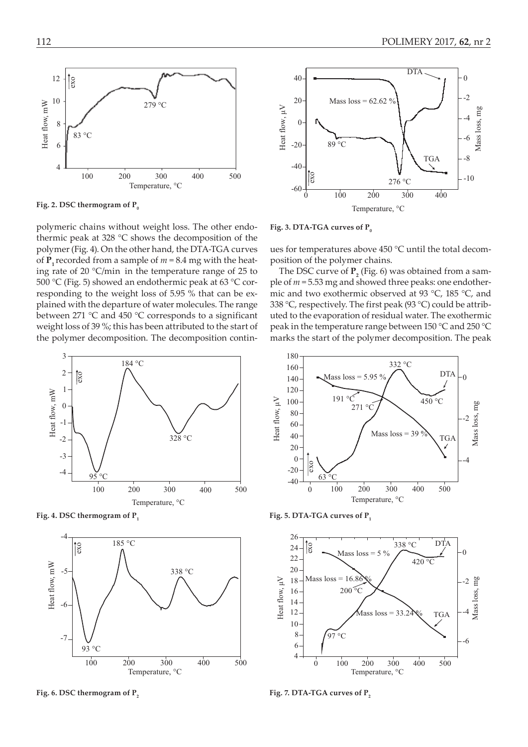

Fig. 2. DSC thermogram of P<sub>0</sub>

polymeric chains without weight loss. The other endothermic peak at 328 °C shows the decomposition of the polymer (Fig. 4). On the other hand, the DTA-TGA curves of  $P_1$  recorded from a sample of  $m = 8.4$  mg with the heating rate of 20 °C/min in the temperature range of 25 to 500 °C (Fig. 5) showed an endothermic peak at 63 °C corresponding to the weight loss of 5.95 % that can be explained with the departure of water molecules. The range between 271 °C and 450 °C corresponds to a significant weight loss of 39 %; this has been attributed to the start of the polymer decomposition. The decomposition contin-



**Fig. 4. DSC thermogram of P**<sub>1</sub> **Fig. 5. DTA-TGA curves of P**<sub>1</sub> **Fig. 5. DTA-TGA curves of P**<sub>1</sub>



Fig. 6. DSC thermogram of P<sub>2</sub> **Fig. 7. DTA-TGA curves of P<sub>2</sub> Fig. 7. DTA-TGA** curves of P<sub>2</sub>



Fig. 3. DTA-TGA curves of P<sub>0</sub>

ues for temperatures above 450 °C until the total decomposition of the polymer chains.

The DSC curve of  $P_2$  (Fig. 6) was obtained from a sample of *m* = 5.53 mg and showed three peaks: one endothermic and two exothermic observed at 93 °C, 185 °C, and 338 °C, respectively. The first peak (93 °C) could be attributed to the evaporation of residual water. The exothermic peak in the temperature range between 150 °C and 250 °C marks the start of the polymer decomposition. The peak



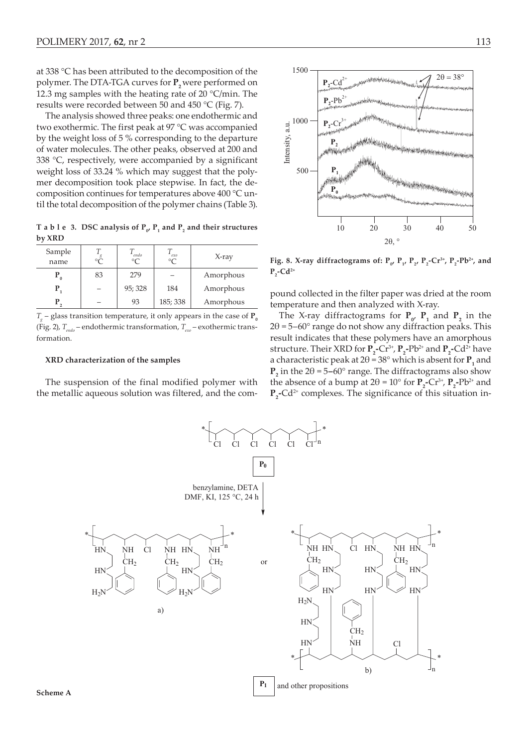at 338 °C has been attributed to the decomposition of the polymer. The DTA-TGA curves for **P**<sub>2</sub> were performed on 12.3 mg samples with the heating rate of 20 °C/min. The results were recorded between 50 and 450 °C (Fig. 7).

The analysis showed three peaks: one endothermic and two exothermic. The first peak at 97 °C was accompanied by the weight loss of 5 % corresponding to the departure of water molecules. The other peaks, observed at 200 and 338 °C, respectively, were accompanied by a significant weight loss of 33.24 % which may suggest that the polymer decomposition took place stepwise. In fact, the decomposition continues for temperatures above 400 °C until the total decomposition of the polymer chains (Table 3).

**T** a **b**  $1 \text{ e } 3$ . DSC analysis of  $P_{0'}P_1$  and  $P_2$  and their structures **by XRD**

| Sample<br>name |    | endo<br>$\circ$ | exo<br>$\circ$ | $X$ -ray  |
|----------------|----|-----------------|----------------|-----------|
| $P_0$          | 83 | 279             |                | Amorphous |
|                |    | 95; 328         | 184            | Amorphous |
|                |    | 93              | 185; 338       | Amorphous |

 $T_{g}$  – glass transition temperature, it only appears in the case of **P**<sub>*a*</sub> (Fig. 2),  $T_{\text{endo}}$  – endothermic transformation,  $T_{\text{exo}}$  – exothermic transformation.

#### **XRD characterization of the samples**

The suspension of the final modified polymer with the metallic aqueous solution was filtered, and the com-



**Fig. 8. X-ray diffractograms of:**  $P_{0}$ **,**  $P_{1}$ **,**  $P_{2}$ **,**  $P_{2}$ **-Cr<sup>3+</sup>,**  $P_{2}$ **-Pb<sup>2+</sup>, and**  $P_2$ **-Cd<sup>2+</sup>** 

pound collected in the filter paper was dried at the room temperature and then analyzed with X-ray.

The X-ray diffractograms for  $P_{\alpha}$ ,  $P_1$  and  $P_2$  in the  $2\theta = 5 - 60^{\circ}$  range do not show any diffraction peaks. This result indicates that these polymers have an amorphous structure. Their XRD for  $P_2$ -Cr<sup>3+</sup>,  $P_2$ -Pb<sup>2+</sup> and  $P_2$ -Cd<sup>2+</sup> have a characteristic peak at  $2\theta = 38^\circ$  which is absent for  $P_1$  and **P**<sub>2</sub> in the  $2\theta = 5-60^{\circ}$  range. The diffractograms also show the absence of a bump at  $2\theta = 10^{\circ}$  for  $P_2$ -Cr<sup>3+</sup>,  $P_2$ -Pb<sup>2+</sup> and **P**<sub>2</sub>-Cd<sup>2+</sup> complexes. The significance of this situation in-

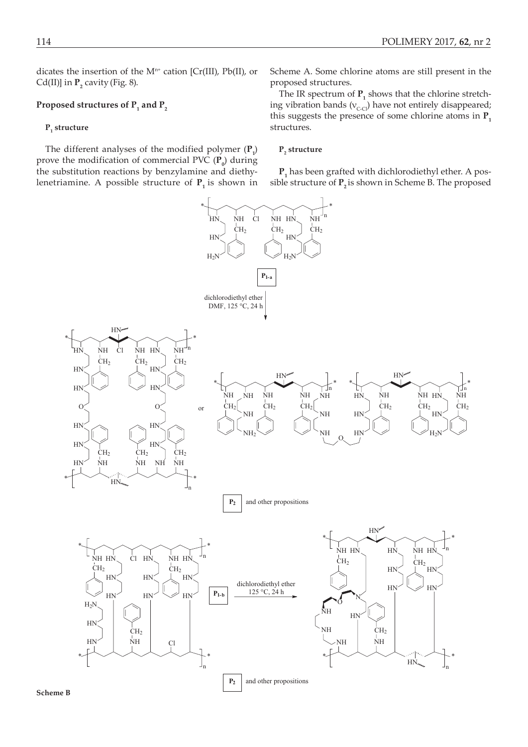dicates the insertion of the  $M<sup>n+</sup>$  cation [Cr(III), Pb(II), or Cd(II)] in  $P_2$  cavity (Fig. 8).

# **Proposed structures of P<sup>1</sup> and P<sup>2</sup>**

# $P_{1}$  structure

The different analyses of the modified polymer  $(\mathbf{P}_1)$ prove the modification of commercial PVC  $(\mathbf{P}_{0})$  during the substitution reactions by benzylamine and diethylenetriamine. A possible structure of  $P_1$  is shown in

Scheme A. Some chlorine atoms are still present in the proposed structures.

The IR spectrum of  $P_1$  shows that the chlorine stretching vibration bands ( $v_{c-Cl}$ ) have not entirely disappeared; this suggests the presence of some chlorine atoms in  $P_1$ structures.

# $\mathbf{P}_2$  structure

**P1** has been grafted with dichlorodiethyl ether. A possible structure of  $P_2$  is shown in Scheme B. The proposed

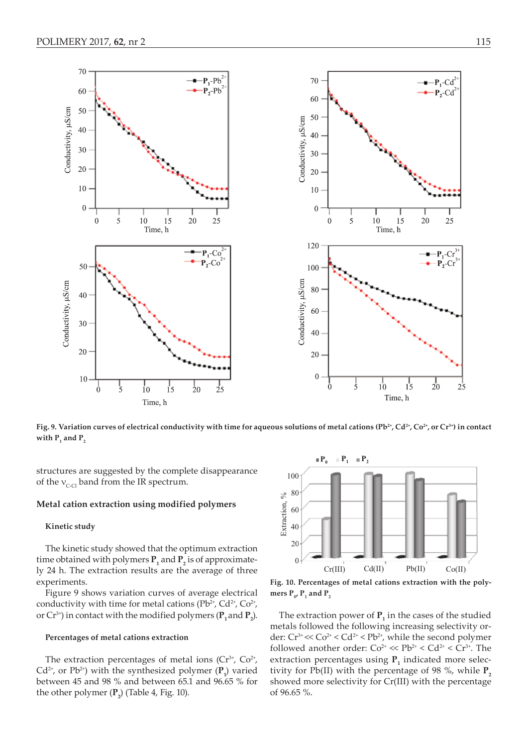

Fig. 9. Variation curves of electrical conductivity with time for aqueous solutions of metal cations (Pb<sup>2+</sup>, Cd<sup>2+</sup>, Co<sup>2+</sup>, or Cr<sup>3+</sup>) in contact  $\text{with } \mathbf{P}_1 \text{ and } \mathbf{P}_2$ 

structures are suggested by the complete disappearance of the  $v_{c,cl}$  band from the IR spectrum.

#### **Metal cation extraction using modified polymers**

#### **Kinetic study**

The kinetic study showed that the optimum extraction time obtained with polymers  $P_1$  and  $P_2$  is of approximately 24 h. The extraction results are the average of three experiments.

Figure 9 shows variation curves of average electrical conductivity with time for metal cations  $(Pb^{2+}, Cd^{2+}, Co^{2+}, Pb^{2+})$ or  $Cr^{3+}$ ) in contact with the modified polymers ( $\mathbf{P}_1$  and  $\mathbf{P}_2$ ).

#### **Percentages of metal cations extraction**

The extraction percentages of metal ions  $(Cr^{3+}, Co^{2+},$  $Cd^{2+}$ , or  $Pb^{2+}$ ) with the synthesized polymer  $(\mathbf{P}_1)$  varied between 45 and 98 % and between 65.1 and 96.65 % for the other polymer  $(\mathbf{P}_2)$  (Table 4, Fig. 10).



**Fig. 10. Percentages of metal cations extraction with the poly**mers  $P_0$ ,  $P_1$  and  $P_2$ 

The extraction power of  $P_1$  in the cases of the studied metals followed the following increasing selectivity order:  $Cr^{3+} \ll Co^{2+} \ll Cd^{2+} \ll Pb^{2+}$ , while the second polymer followed another order:  $Co^{2+} \ll Pb^{2+} < Cd^{2+} < Cr^{3+}$ . The extraction percentages using  $P_1$  indicated more selectivity for Pb(II) with the percentage of 98 %, while  $P$ <sub>2</sub> showed more selectivity for Cr(III) with the percentage of 96.65 %.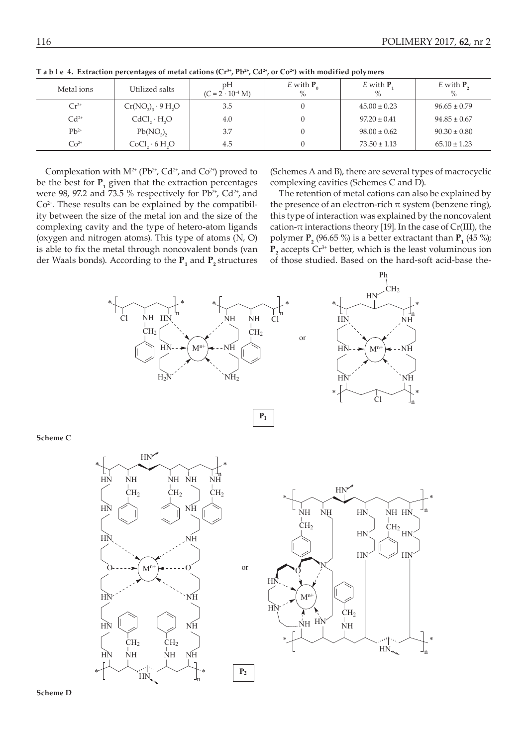| Metal ions | Utilized salts     | pΗ<br>$(C = 2 \cdot 10^{-4} \text{ M})$ | E with $P_{0}$<br>$\%$ | E with $P_1$<br>$\%$ | $E$ with $P_{2}$<br>$\%$ |
|------------|--------------------|-----------------------------------------|------------------------|----------------------|--------------------------|
| $Cr^{3+}$  | $Cr(NO3)3 · 9 H2O$ | 3.5                                     |                        | $45.00 \pm 0.23$     | $96.65 \pm 0.79$         |
| $Cd2+$     | CdCl,·H, O         | 4.0                                     |                        | $97.20 \pm 0.41$     | $94.85 \pm 0.67$         |
| $Pb^{2+}$  | $Pb(NO_3)$         | 3.7                                     |                        | $98.00 \pm 0.62$     | $90.30 \pm 0.80$         |
| $Co2+$     | CoCl, 6H, O        | 4.5                                     |                        | $73.50 \pm 1.13$     | $65.10 \pm 1.23$         |

**T a b l e 4. Extraction percentages of metal cations (Cr3+, Pb2+, Cd2+, or Co2+) with modified polymers** 

Complexation with  $M^{2+}$  (Pb<sup>2+</sup>, Cd<sup>2+</sup>, and Co<sup>2+</sup>) proved to be the best for  $P_1$  given that the extraction percentages were 98, 97.2 and 73.5 % respectively for  $Pb^{2+}$ ,  $Cd^{2+}$ , and  $Co<sup>2+</sup>$ . These results can be explained by the compatibility between the size of the metal ion and the size of the complexing cavity and the type of hetero-atom ligands (oxygen and nitrogen atoms). This type of atoms (N, O) is able to fix the metal through noncovalent bonds (van der Waals bonds). According to the  $P_1$  and  $P_2$  structures

(Schemes A and B), there are several types of macrocyclic complexing cavities (Schemes C and D).

The retention of metal cations can also be explained by the presence of an electron-rich  $\pi$  system (benzene ring), this type of interaction was explained by the noncovalent cation- $\pi$  interactions theory [19]. In the case of Cr(III), the polymer  $P_2$  (96.65 %) is a better extractant than  $P_1$  (45 %);  $P_2$  accepts  $Cr^{3+}$  better, which is the least voluminous ion of those studied. Based on the hard-soft acid-base the-



**Scheme C**